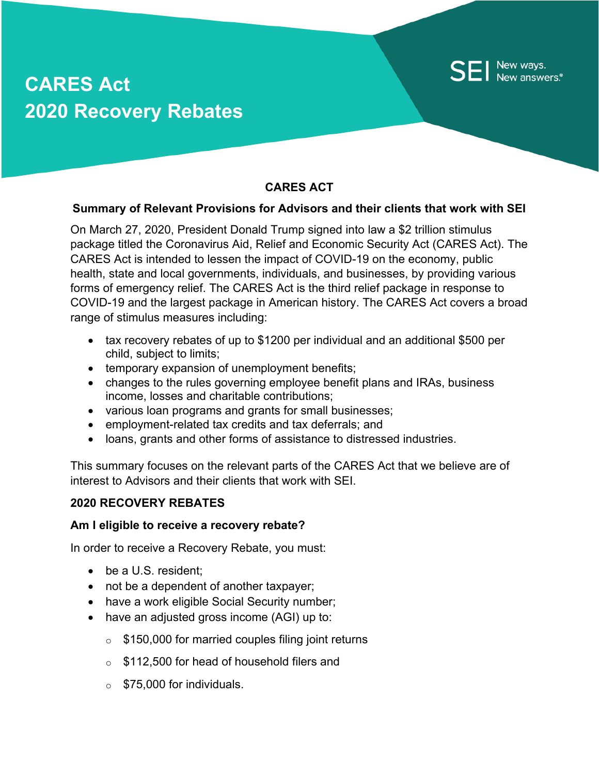# **CARES Act 2020 Recovery Rebates**

# **CARES ACT**

New ways.<br>New answers.

### **Summary of Relevant Provisions for Advisors and their clients that work with SEI**

On March 27, 2020, President Donald Trump signed into law a \$2 trillion stimulus package titled the Coronavirus Aid, Relief and Economic Security Act (CARES Act). The CARES Act is intended to lessen the impact of COVID-19 on the economy, public health, state and local governments, individuals, and businesses, by providing various forms of emergency relief. The CARES Act is the third relief package in response to COVID-19 and the largest package in American history. The CARES Act covers a broad range of stimulus measures including:

- tax recovery rebates of up to \$1200 per individual and an additional \$500 per child, subject to limits;
- temporary expansion of unemployment benefits;
- changes to the rules governing employee benefit plans and IRAs, business income, losses and charitable contributions;
- various loan programs and grants for small businesses;
- employment-related tax credits and tax deferrals; and
- loans, grants and other forms of assistance to distressed industries.

This summary focuses on the relevant parts of the CARES Act that we believe are of interest to Advisors and their clients that work with SEI.

## **2020 RECOVERY REBATES**

#### **Am I eligible to receive a recovery rebate?**

In order to receive a Recovery Rebate, you must:

- be a U.S. resident;
- not be a dependent of another taxpayer;
- have a work eligible Social Security number;
- have an adjusted gross income (AGI) up to:
	- $\circ$  \$150,000 for married couples filing joint returns
	- o \$112,500 for head of household filers and
	- $\circ$  \$75,000 for individuals.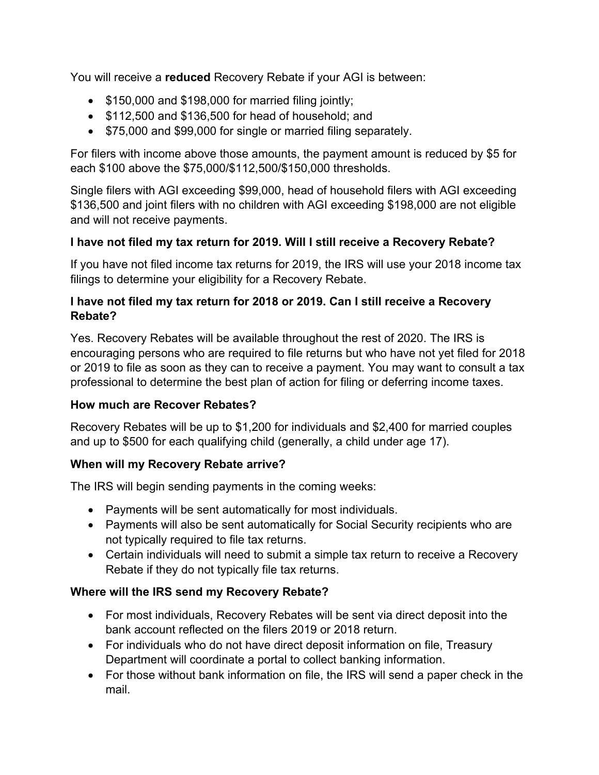You will receive a **reduced** Recovery Rebate if your AGI is between:

- \$150,000 and \$198,000 for married filing jointly;
- \$112,500 and \$136,500 for head of household; and
- \$75,000 and \$99,000 for single or married filing separately.

For filers with income above those amounts, the payment amount is reduced by \$5 for each \$100 above the \$75,000/\$112,500/\$150,000 thresholds.

Single filers with AGI exceeding \$99,000, head of household filers with AGI exceeding \$136,500 and joint filers with no children with AGI exceeding \$198,000 are not eligible and will not receive payments.

# **I have not filed my tax return for 2019. Will I still receive a Recovery Rebate?**

If you have not filed income tax returns for 2019, the IRS will use your 2018 income tax filings to determine your eligibility for a Recovery Rebate.

## **I have not filed my tax return for 2018 or 2019. Can I still receive a Recovery Rebate?**

Yes. Recovery Rebates will be available throughout the rest of 2020. The IRS is encouraging persons who are required to file returns but who have not yet filed for 2018 or 2019 to file as soon as they can to receive a payment. You may want to consult a tax professional to determine the best plan of action for filing or deferring income taxes.

# **How much are Recover Rebates?**

Recovery Rebates will be up to \$1,200 for individuals and \$2,400 for married couples and up to \$500 for each qualifying child (generally, a child under age 17).

# **When will my Recovery Rebate arrive?**

The IRS will begin sending payments in the coming weeks:

- Payments will be sent automatically for most individuals.
- Payments will also be sent automatically for Social Security recipients who are not typically required to file tax returns.
- Certain individuals will need to submit a simple tax return to receive a Recovery Rebate if they do not typically file tax returns.

# **Where will the IRS send my Recovery Rebate?**

- For most individuals, Recovery Rebates will be sent via direct deposit into the bank account reflected on the filers 2019 or 2018 return.
- For individuals who do not have direct deposit information on file, Treasury Department will coordinate a portal to collect banking information.
- For those without bank information on file, the IRS will send a paper check in the mail.